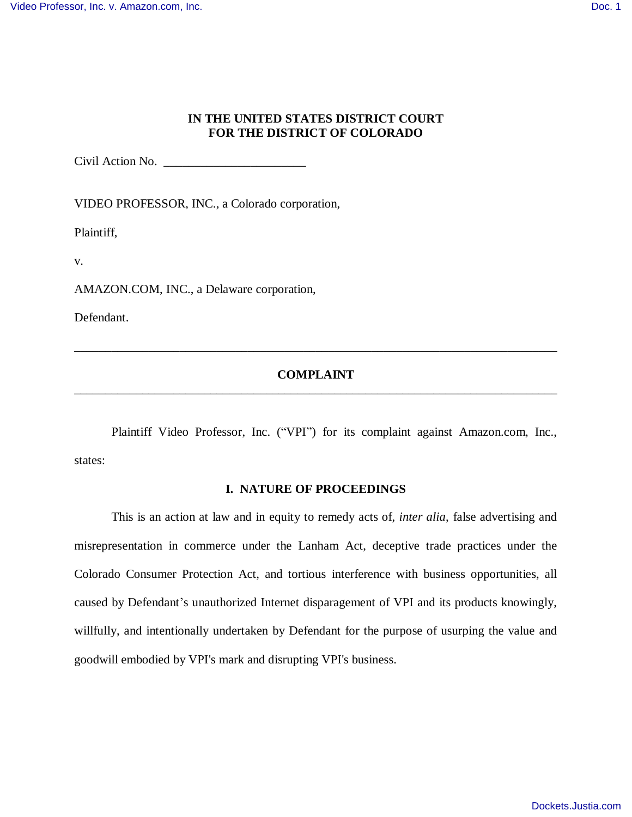## **IN THE UNITED STATES DISTRICT COURT FOR THE DISTRICT OF COLORADO**

Civil Action No. \_\_\_\_\_\_\_\_\_\_\_\_\_\_\_\_\_\_\_\_\_\_\_

VIDEO PROFESSOR, INC., a Colorado corporation,

Plaintiff,

v.

AMAZON.COM, INC., a Delaware corporation,

Defendant.

# **COMPLAINT** \_\_\_\_\_\_\_\_\_\_\_\_\_\_\_\_\_\_\_\_\_\_\_\_\_\_\_\_\_\_\_\_\_\_\_\_\_\_\_\_\_\_\_\_\_\_\_\_\_\_\_\_\_\_\_\_\_\_\_\_\_\_\_\_\_\_\_\_\_\_\_\_\_\_\_\_\_\_

\_\_\_\_\_\_\_\_\_\_\_\_\_\_\_\_\_\_\_\_\_\_\_\_\_\_\_\_\_\_\_\_\_\_\_\_\_\_\_\_\_\_\_\_\_\_\_\_\_\_\_\_\_\_\_\_\_\_\_\_\_\_\_\_\_\_\_\_\_\_\_\_\_\_\_\_\_\_

Plaintiff Video Professor, Inc. ("VPI") for its complaint against Amazon.com, Inc., states:

# **I. NATURE OF PROCEEDINGS**

This is an action at law and in equity to remedy acts of, *inter alia*, false advertising and misrepresentation in commerce under the Lanham Act, deceptive trade practices under the Colorado Consumer Protection Act, and tortious interference with business opportunities, all caused by Defendant's unauthorized Internet disparagement of VPI and its products knowingly, willfully, and intentionally undertaken by Defendant for the purpose of usurping the value and goodwill embodied by VPI's mark and disrupting VPI's business.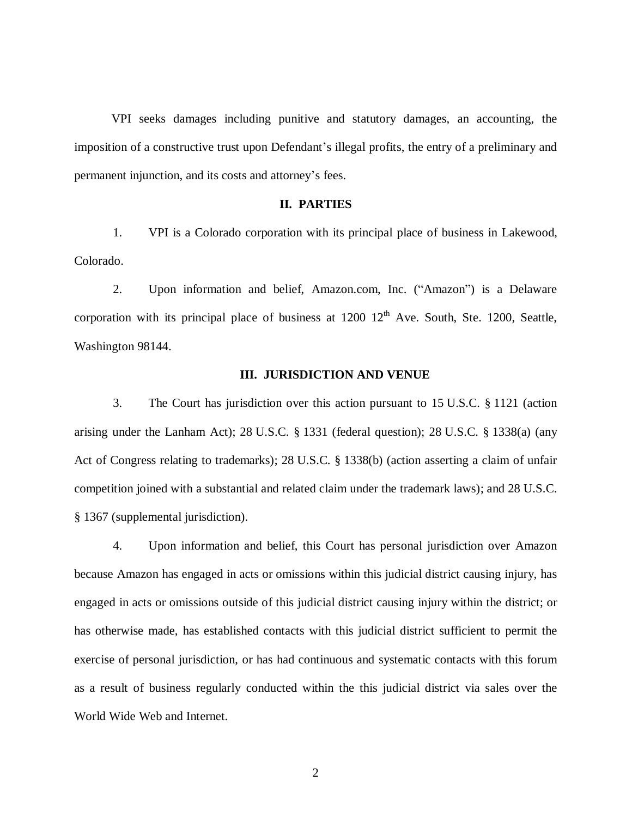VPI seeks damages including punitive and statutory damages, an accounting, the imposition of a constructive trust upon Defendant's illegal profits, the entry of a preliminary and permanent injunction, and its costs and attorney's fees.

## **II. PARTIES**

1. VPI is a Colorado corporation with its principal place of business in Lakewood, Colorado.

2. Upon information and belief, Amazon.com, Inc. ("Amazon") is a Delaware corporation with its principal place of business at  $1200 \frac{12^{th}}{2}$  Ave. South, Ste. 1200, Seattle, Washington 98144.

### **III. JURISDICTION AND VENUE**

3. The Court has jurisdiction over this action pursuant to 15 U.S.C. § 1121 (action arising under the Lanham Act); 28 U.S.C. § 1331 (federal question); 28 U.S.C. § 1338(a) (any Act of Congress relating to trademarks); 28 U.S.C. § 1338(b) (action asserting a claim of unfair competition joined with a substantial and related claim under the trademark laws); and 28 U.S.C. § 1367 (supplemental jurisdiction).

4. Upon information and belief, this Court has personal jurisdiction over Amazon because Amazon has engaged in acts or omissions within this judicial district causing injury, has engaged in acts or omissions outside of this judicial district causing injury within the district; or has otherwise made, has established contacts with this judicial district sufficient to permit the exercise of personal jurisdiction, or has had continuous and systematic contacts with this forum as a result of business regularly conducted within the this judicial district via sales over the World Wide Web and Internet.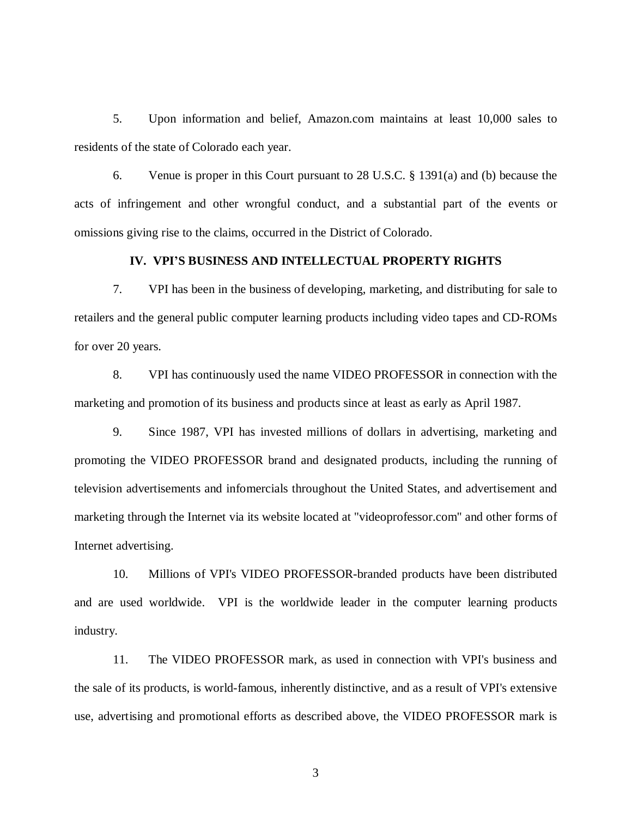5. Upon information and belief, Amazon.com maintains at least 10,000 sales to residents of the state of Colorado each year.

6. Venue is proper in this Court pursuant to 28 U.S.C. § 1391(a) and (b) because the acts of infringement and other wrongful conduct, and a substantial part of the events or omissions giving rise to the claims, occurred in the District of Colorado.

# **IV. VPI'S BUSINESS AND INTELLECTUAL PROPERTY RIGHTS**

7. VPI has been in the business of developing, marketing, and distributing for sale to retailers and the general public computer learning products including video tapes and CD-ROMs for over 20 years.

8. VPI has continuously used the name VIDEO PROFESSOR in connection with the marketing and promotion of its business and products since at least as early as April 1987.

9. Since 1987, VPI has invested millions of dollars in advertising, marketing and promoting the VIDEO PROFESSOR brand and designated products, including the running of television advertisements and infomercials throughout the United States, and advertisement and marketing through the Internet via its website located at "videoprofessor.com" and other forms of Internet advertising.

10. Millions of VPI's VIDEO PROFESSOR-branded products have been distributed and are used worldwide. VPI is the worldwide leader in the computer learning products industry.

11. The VIDEO PROFESSOR mark, as used in connection with VPI's business and the sale of its products, is world-famous, inherently distinctive, and as a result of VPI's extensive use, advertising and promotional efforts as described above, the VIDEO PROFESSOR mark is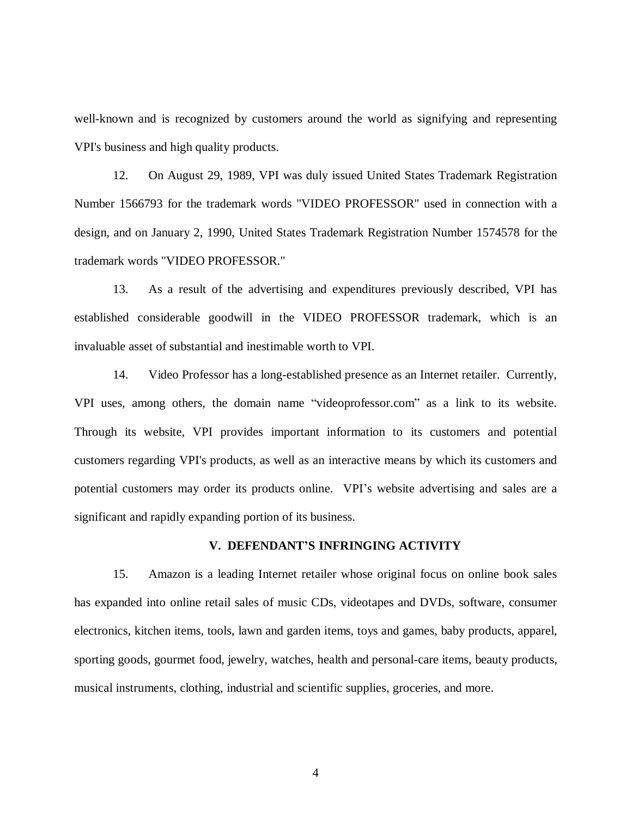well-known and is recognized by customers around the world as signifying and representing VPI's business and high quality products.

12. On August 29, 1989, VPI was duly issued United States Trademark Registration Number 1566793 for the trademark words "VIDEO PROFESSOR" used in connection with a design, and on January 2, 1990, United States Trademark Registration Number 1574578 for the trademark words "VIDEO PROFESSOR."

13. As a result of the advertising and expenditures previously described, VPI has established considerable goodwill in the VIDEO PROFESSOR trademark, which is an invaluable asset of substantial and inestimable worth to VPI.

14. Video Professor has a long-established presence as an Internet retailer. Currently, VPI uses, among others, the domain name "videoprofessor.com" as a link to its website. Through its website, VPI provides important information to its customers and potential customers regarding VPI's products, as well as an interactive means by which its customers and potential customers may order its products online. VPI's website advertising and sales are a significant and rapidly expanding portion of its business.

## **V. DEFENDANT'S INFRINGING ACTIVITY**

15. Amazon is a leading Internet retailer whose original focus on online book sales has expanded into online retail sales of music CDs, videotapes and DVDs, software, consumer electronics, kitchen items, tools, lawn and garden items, toys and games, baby products, apparel, sporting goods, gourmet food, jewelry, watches, health and personal-care items, beauty products, musical instruments, clothing, industrial and scientific supplies, groceries, and more.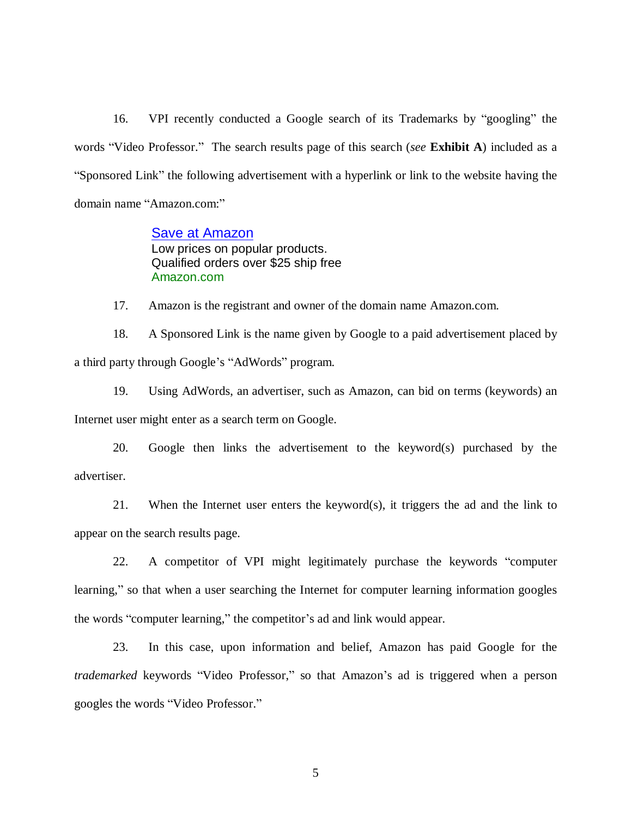16. VPI recently conducted a Google search of its Trademarks by "googling" the words "Video Professor." The search results page of this search (*see* **Exhibit A**) included as a "Sponsored Link" the following advertisement with a hyperlink or link to the website having the domain name "Amazon.com:"

> **Save at Amazon** Low prices on popular products. Qualified orders over \$25 ship free Amazon.com

17. Amazon is the registrant and owner of the domain name Amazon.com.

18. A Sponsored Link is the name given by Google to a paid advertisement placed by a third party through Google's "AdWords" program.

19. Using AdWords, an advertiser, such as Amazon, can bid on terms (keywords) an Internet user might enter as a search term on Google.

20. Google then links the advertisement to the keyword(s) purchased by the advertiser.

21. When the Internet user enters the keyword(s), it triggers the ad and the link to appear on the search results page.

22. A competitor of VPI might legitimately purchase the keywords "computer learning," so that when a user searching the Internet for computer learning information googles the words "computer learning," the competitor's ad and link would appear.

23. In this case, upon information and belief, Amazon has paid Google for the *trademarked* keywords "Video Professor," so that Amazon's ad is triggered when a person googles the words "Video Professor."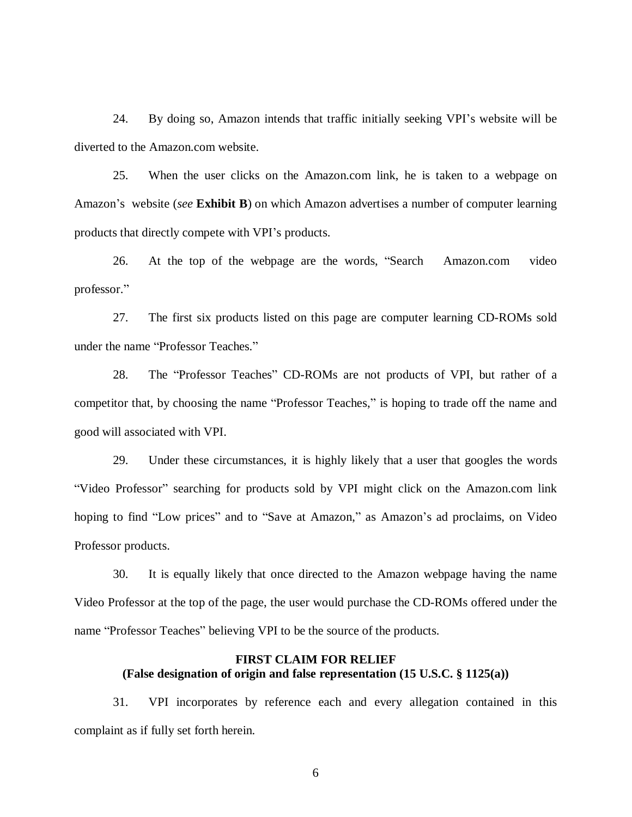24. By doing so, Amazon intends that traffic initially seeking VPI's website will be diverted to the Amazon.com website.

25. When the user clicks on the Amazon.com link, he is taken to a webpage on Amazon's website (*see* **Exhibit B**) on which Amazon advertises a number of computer learning products that directly compete with VPI's products.

26. At the top of the webpage are the words, "Search Amazon.com video professor."

27. The first six products listed on this page are computer learning CD-ROMs sold under the name "Professor Teaches."

28. The "Professor Teaches" CD-ROMs are not products of VPI, but rather of a competitor that, by choosing the name "Professor Teaches," is hoping to trade off the name and good will associated with VPI.

29. Under these circumstances, it is highly likely that a user that googles the words "Video Professor" searching for products sold by VPI might click on the Amazon.com link hoping to find "Low prices" and to "Save at Amazon," as Amazon's ad proclaims, on Video Professor products.

30. It is equally likely that once directed to the Amazon webpage having the name Video Professor at the top of the page, the user would purchase the CD-ROMs offered under the name "Professor Teaches" believing VPI to be the source of the products.

# **FIRST CLAIM FOR RELIEF (False designation of origin and false representation (15 U.S.C. § 1125(a))**

31. VPI incorporates by reference each and every allegation contained in this complaint as if fully set forth herein.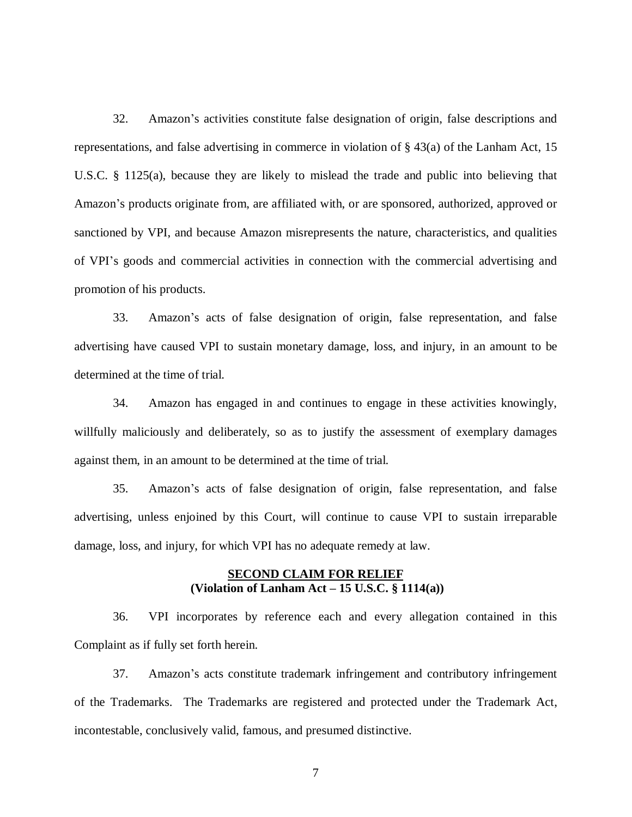32. Amazon's activities constitute false designation of origin, false descriptions and representations, and false advertising in commerce in violation of § 43(a) of the Lanham Act, 15 U.S.C. § 1125(a), because they are likely to mislead the trade and public into believing that Amazon's products originate from, are affiliated with, or are sponsored, authorized, approved or sanctioned by VPI, and because Amazon misrepresents the nature, characteristics, and qualities of VPI's goods and commercial activities in connection with the commercial advertising and promotion of his products.

33. Amazon's acts of false designation of origin, false representation, and false advertising have caused VPI to sustain monetary damage, loss, and injury, in an amount to be determined at the time of trial.

34. Amazon has engaged in and continues to engage in these activities knowingly, willfully maliciously and deliberately, so as to justify the assessment of exemplary damages against them, in an amount to be determined at the time of trial.

35. Amazon's acts of false designation of origin, false representation, and false advertising, unless enjoined by this Court, will continue to cause VPI to sustain irreparable damage, loss, and injury, for which VPI has no adequate remedy at law.

#### **SECOND CLAIM FOR RELIEF (Violation of Lanham Act – 15 U.S.C. § 1114(a))**

36. VPI incorporates by reference each and every allegation contained in this Complaint as if fully set forth herein.

37. Amazon's acts constitute trademark infringement and contributory infringement of the Trademarks. The Trademarks are registered and protected under the Trademark Act, incontestable, conclusively valid, famous, and presumed distinctive.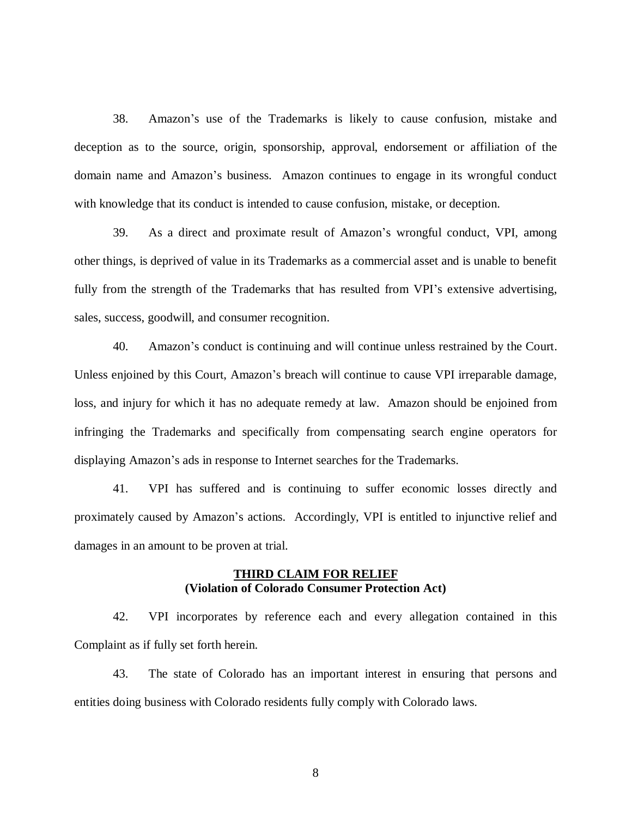38. Amazon's use of the Trademarks is likely to cause confusion, mistake and deception as to the source, origin, sponsorship, approval, endorsement or affiliation of the domain name and Amazon's business. Amazon continues to engage in its wrongful conduct with knowledge that its conduct is intended to cause confusion, mistake, or deception.

39. As a direct and proximate result of Amazon's wrongful conduct, VPI, among other things, is deprived of value in its Trademarks as a commercial asset and is unable to benefit fully from the strength of the Trademarks that has resulted from VPI's extensive advertising, sales, success, goodwill, and consumer recognition.

40. Amazon's conduct is continuing and will continue unless restrained by the Court. Unless enjoined by this Court, Amazon's breach will continue to cause VPI irreparable damage, loss, and injury for which it has no adequate remedy at law. Amazon should be enjoined from infringing the Trademarks and specifically from compensating search engine operators for displaying Amazon's ads in response to Internet searches for the Trademarks.

41. VPI has suffered and is continuing to suffer economic losses directly and proximately caused by Amazon's actions. Accordingly, VPI is entitled to injunctive relief and damages in an amount to be proven at trial.

#### **THIRD CLAIM FOR RELIEF (Violation of Colorado Consumer Protection Act)**

42. VPI incorporates by reference each and every allegation contained in this Complaint as if fully set forth herein.

43. The state of Colorado has an important interest in ensuring that persons and entities doing business with Colorado residents fully comply with Colorado laws.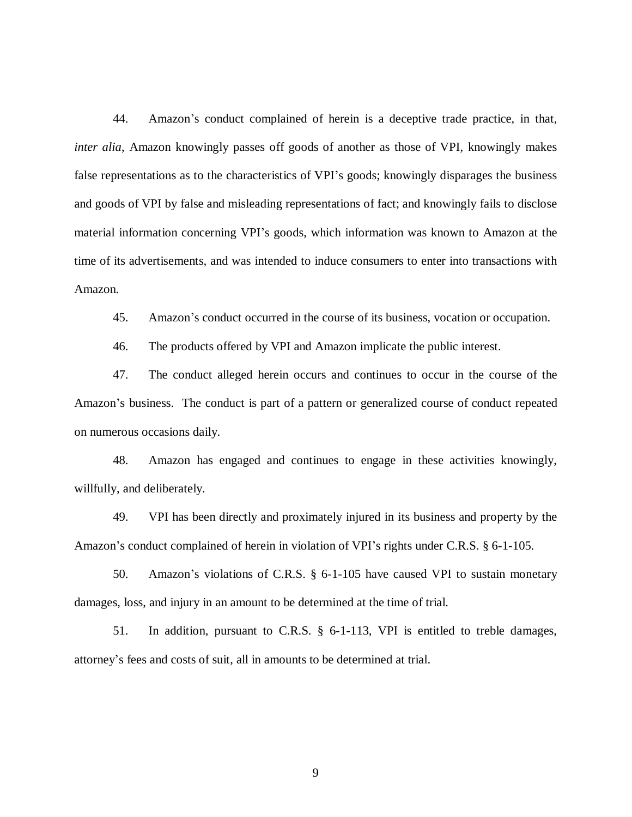44. Amazon's conduct complained of herein is a deceptive trade practice, in that, *inter alia*, Amazon knowingly passes off goods of another as those of VPI, knowingly makes false representations as to the characteristics of VPI's goods; knowingly disparages the business and goods of VPI by false and misleading representations of fact; and knowingly fails to disclose material information concerning VPI's goods, which information was known to Amazon at the time of its advertisements, and was intended to induce consumers to enter into transactions with Amazon.

45. Amazon's conduct occurred in the course of its business, vocation or occupation.

46. The products offered by VPI and Amazon implicate the public interest.

47. The conduct alleged herein occurs and continues to occur in the course of the Amazon's business. The conduct is part of a pattern or generalized course of conduct repeated on numerous occasions daily.

48. Amazon has engaged and continues to engage in these activities knowingly, willfully, and deliberately.

49. VPI has been directly and proximately injured in its business and property by the Amazon's conduct complained of herein in violation of VPI's rights under C.R.S. § 6-1-105.

50. Amazon's violations of C.R.S. § 6-1-105 have caused VPI to sustain monetary damages, loss, and injury in an amount to be determined at the time of trial.

51. In addition, pursuant to C.R.S. § 6-1-113, VPI is entitled to treble damages, attorney's fees and costs of suit, all in amounts to be determined at trial.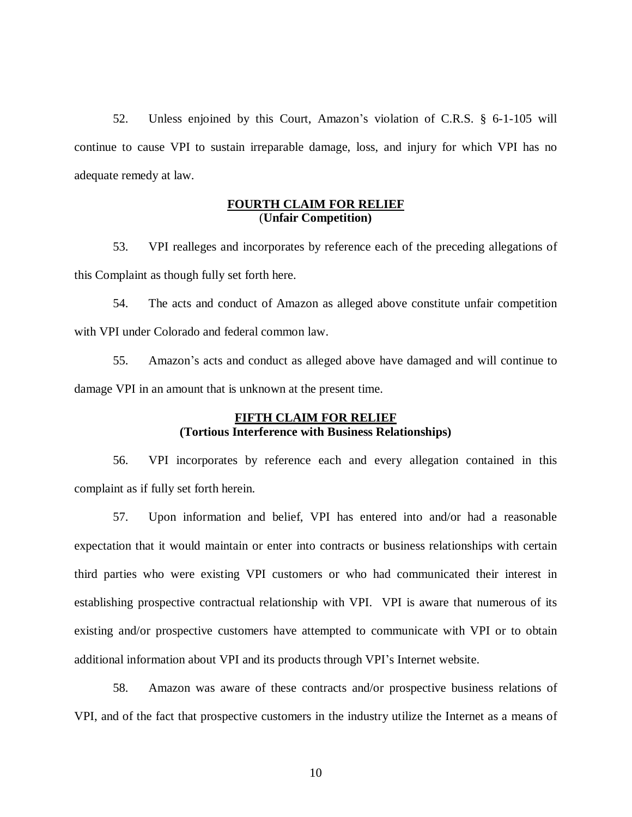52. Unless enjoined by this Court, Amazon's violation of C.R.S. § 6-1-105 will continue to cause VPI to sustain irreparable damage, loss, and injury for which VPI has no adequate remedy at law.

#### **FOURTH CLAIM FOR RELIEF** (**Unfair Competition)**

53. VPI realleges and incorporates by reference each of the preceding allegations of this Complaint as though fully set forth here.

54. The acts and conduct of Amazon as alleged above constitute unfair competition with VPI under Colorado and federal common law.

55. Amazon's acts and conduct as alleged above have damaged and will continue to damage VPI in an amount that is unknown at the present time.

# **FIFTH CLAIM FOR RELIEF (Tortious Interference with Business Relationships)**

56. VPI incorporates by reference each and every allegation contained in this complaint as if fully set forth herein.

57. Upon information and belief, VPI has entered into and/or had a reasonable expectation that it would maintain or enter into contracts or business relationships with certain third parties who were existing VPI customers or who had communicated their interest in establishing prospective contractual relationship with VPI. VPI is aware that numerous of its existing and/or prospective customers have attempted to communicate with VPI or to obtain additional information about VPI and its products through VPI's Internet website.

58. Amazon was aware of these contracts and/or prospective business relations of VPI, and of the fact that prospective customers in the industry utilize the Internet as a means of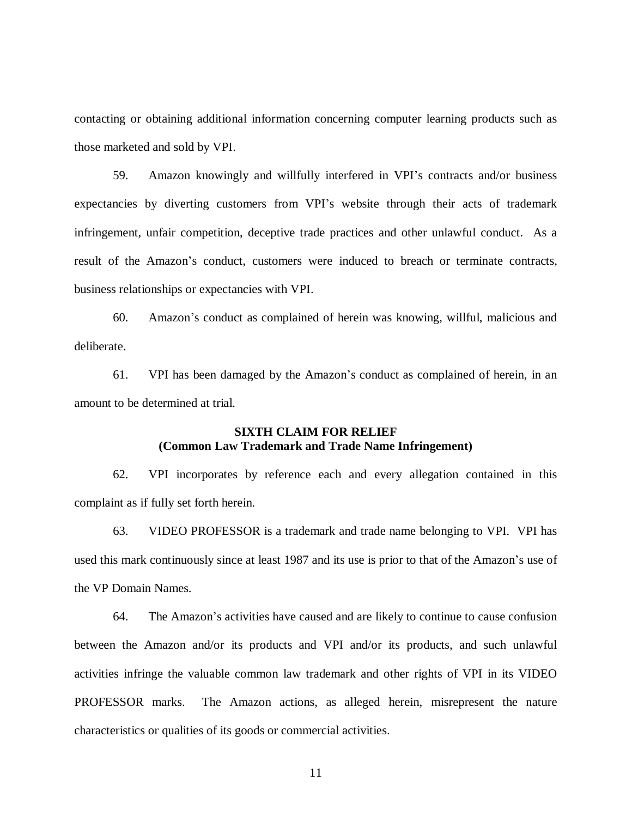contacting or obtaining additional information concerning computer learning products such as those marketed and sold by VPI.

59. Amazon knowingly and willfully interfered in VPI's contracts and/or business expectancies by diverting customers from VPI's website through their acts of trademark infringement, unfair competition, deceptive trade practices and other unlawful conduct. As a result of the Amazon's conduct, customers were induced to breach or terminate contracts, business relationships or expectancies with VPI.

60. Amazon's conduct as complained of herein was knowing, willful, malicious and deliberate.

61. VPI has been damaged by the Amazon's conduct as complained of herein, in an amount to be determined at trial.

## **SIXTH CLAIM FOR RELIEF (Common Law Trademark and Trade Name Infringement)**

62. VPI incorporates by reference each and every allegation contained in this complaint as if fully set forth herein.

63. VIDEO PROFESSOR is a trademark and trade name belonging to VPI. VPI has used this mark continuously since at least 1987 and its use is prior to that of the Amazon's use of the VP Domain Names.

64. The Amazon's activities have caused and are likely to continue to cause confusion between the Amazon and/or its products and VPI and/or its products, and such unlawful activities infringe the valuable common law trademark and other rights of VPI in its VIDEO PROFESSOR marks. The Amazon actions, as alleged herein, misrepresent the nature characteristics or qualities of its goods or commercial activities.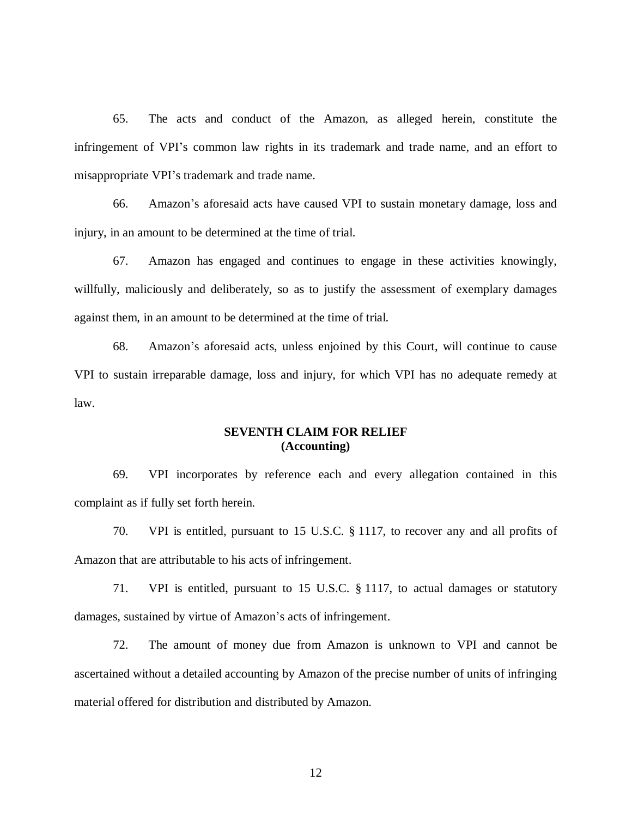65. The acts and conduct of the Amazon, as alleged herein, constitute the infringement of VPI's common law rights in its trademark and trade name, and an effort to misappropriate VPI's trademark and trade name.

66. Amazon's aforesaid acts have caused VPI to sustain monetary damage, loss and injury, in an amount to be determined at the time of trial.

67. Amazon has engaged and continues to engage in these activities knowingly, willfully, maliciously and deliberately, so as to justify the assessment of exemplary damages against them, in an amount to be determined at the time of trial.

68. Amazon's aforesaid acts, unless enjoined by this Court, will continue to cause VPI to sustain irreparable damage, loss and injury, for which VPI has no adequate remedy at law.

#### **SEVENTH CLAIM FOR RELIEF (Accounting)**

69. VPI incorporates by reference each and every allegation contained in this complaint as if fully set forth herein.

70. VPI is entitled, pursuant to 15 U.S.C. § 1117, to recover any and all profits of Amazon that are attributable to his acts of infringement.

71. VPI is entitled, pursuant to 15 U.S.C. § 1117, to actual damages or statutory damages, sustained by virtue of Amazon's acts of infringement.

72. The amount of money due from Amazon is unknown to VPI and cannot be ascertained without a detailed accounting by Amazon of the precise number of units of infringing material offered for distribution and distributed by Amazon.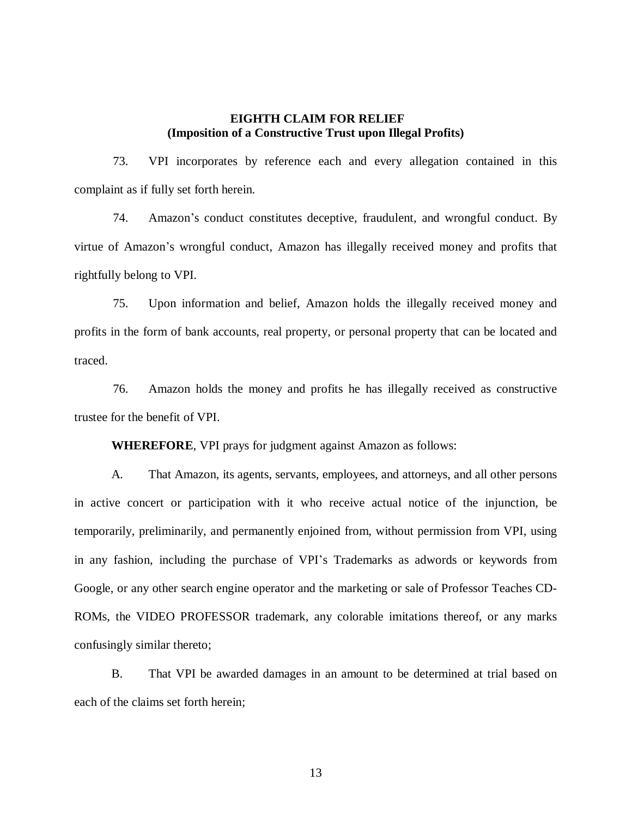# **EIGHTH CLAIM FOR RELIEF (Imposition of a Constructive Trust upon Illegal Profits)**

73. VPI incorporates by reference each and every allegation contained in this complaint as if fully set forth herein.

74. Amazon's conduct constitutes deceptive, fraudulent, and wrongful conduct. By virtue of Amazon's wrongful conduct, Amazon has illegally received money and profits that rightfully belong to VPI.

75. Upon information and belief, Amazon holds the illegally received money and profits in the form of bank accounts, real property, or personal property that can be located and traced.

76. Amazon holds the money and profits he has illegally received as constructive trustee for the benefit of VPI.

**WHEREFORE**, VPI prays for judgment against Amazon as follows:

A. That Amazon, its agents, servants, employees, and attorneys, and all other persons in active concert or participation with it who receive actual notice of the injunction, be temporarily, preliminarily, and permanently enjoined from, without permission from VPI, using in any fashion, including the purchase of VPI's Trademarks as adwords or keywords from Google, or any other search engine operator and the marketing or sale of Professor Teaches CD-ROMs, the VIDEO PROFESSOR trademark, any colorable imitations thereof, or any marks confusingly similar thereto;

B. That VPI be awarded damages in an amount to be determined at trial based on each of the claims set forth herein;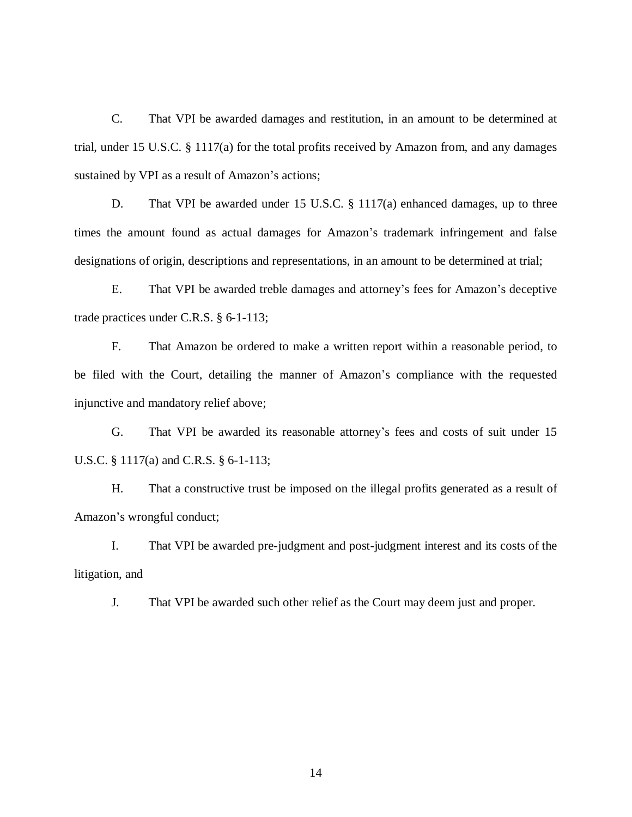C. That VPI be awarded damages and restitution, in an amount to be determined at trial, under 15 U.S.C. § 1117(a) for the total profits received by Amazon from, and any damages sustained by VPI as a result of Amazon's actions;

D. That VPI be awarded under 15 U.S.C. § 1117(a) enhanced damages, up to three times the amount found as actual damages for Amazon's trademark infringement and false designations of origin, descriptions and representations, in an amount to be determined at trial;

E. That VPI be awarded treble damages and attorney's fees for Amazon's deceptive trade practices under C.R.S. § 6-1-113;

F. That Amazon be ordered to make a written report within a reasonable period, to be filed with the Court, detailing the manner of Amazon's compliance with the requested injunctive and mandatory relief above;

G. That VPI be awarded its reasonable attorney's fees and costs of suit under 15 U.S.C. § 1117(a) and C.R.S. § 6-1-113;

H. That a constructive trust be imposed on the illegal profits generated as a result of Amazon's wrongful conduct;

I. That VPI be awarded pre-judgment and post-judgment interest and its costs of the litigation, and

J. That VPI be awarded such other relief as the Court may deem just and proper.